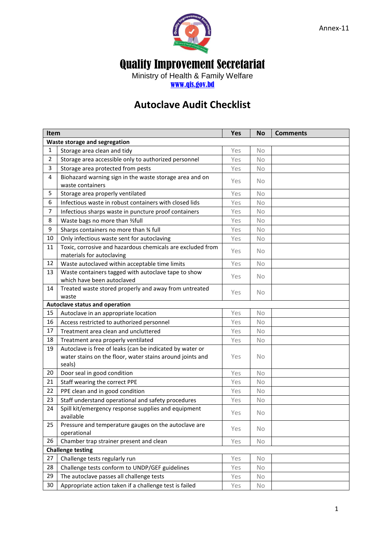

## Quality Improvement Secretariat

Ministry of Health & Family Welfare [www.qis.gov.bd](http://www.qis.gov.bd/)

## **Autoclave Audit Checklist**

| Item                                  |                                                                                                                                 | <b>Yes</b> | <b>No</b> | <b>Comments</b> |  |  |  |
|---------------------------------------|---------------------------------------------------------------------------------------------------------------------------------|------------|-----------|-----------------|--|--|--|
| Waste storage and segregation         |                                                                                                                                 |            |           |                 |  |  |  |
| 1                                     | Storage area clean and tidy                                                                                                     | Yes        | <b>No</b> |                 |  |  |  |
| 2                                     | Storage area accessible only to authorized personnel                                                                            | Yes        | <b>No</b> |                 |  |  |  |
| 3                                     | Storage area protected from pests                                                                                               | Yes        | <b>No</b> |                 |  |  |  |
| 4                                     | Biohazard warning sign in the waste storage area and on<br>waste containers                                                     | Yes        | <b>No</b> |                 |  |  |  |
| 5                                     | Storage area properly ventilated                                                                                                | Yes        | <b>No</b> |                 |  |  |  |
| 6                                     | Infectious waste in robust containers with closed lids                                                                          | Yes        | No        |                 |  |  |  |
| 7                                     | Infectious sharps waste in puncture proof containers                                                                            | Yes        | No        |                 |  |  |  |
| 8                                     | Waste bags no more than %full                                                                                                   | Yes        | No        |                 |  |  |  |
| 9                                     | Sharps containers no more than 34 full                                                                                          | Yes        | No        |                 |  |  |  |
| 10                                    | Only infectious waste sent for autoclaving                                                                                      | Yes        | No        |                 |  |  |  |
| 11                                    | Toxic, corrosive and hazardous chemicals are excluded from<br>materials for autoclaving                                         | Yes        | <b>No</b> |                 |  |  |  |
| 12                                    | Waste autoclaved within acceptable time limits                                                                                  | Yes        | No        |                 |  |  |  |
| 13                                    | Waste containers tagged with autoclave tape to show<br>which have been autoclaved                                               | Yes        | <b>No</b> |                 |  |  |  |
| 14                                    | Treated waste stored properly and away from untreated<br>waste                                                                  | Yes        | <b>No</b> |                 |  |  |  |
| <b>Autoclave status and operation</b> |                                                                                                                                 |            |           |                 |  |  |  |
| 15                                    | Autoclave in an appropriate location                                                                                            | Yes        | <b>No</b> |                 |  |  |  |
| 16                                    | Access restricted to authorized personnel                                                                                       | Yes        | <b>No</b> |                 |  |  |  |
| 17                                    | Treatment area clean and uncluttered                                                                                            | Yes        | No        |                 |  |  |  |
| 18                                    | Treatment area properly ventilated                                                                                              | Yes        | <b>No</b> |                 |  |  |  |
| 19                                    | Autoclave is free of leaks (can be indicated by water or<br>water stains on the floor, water stains around joints and<br>seals) | Yes        | <b>No</b> |                 |  |  |  |
| 20                                    | Door seal in good condition                                                                                                     | Yes        | No        |                 |  |  |  |
| 21                                    | Staff wearing the correct PPE                                                                                                   | Yes        | No        |                 |  |  |  |
| 22                                    | PPE clean and in good condition                                                                                                 | Yes        | No        |                 |  |  |  |
| 23                                    | Staff understand operational and safety procedures                                                                              | Yes        | No        |                 |  |  |  |
| 24                                    | Spill kit/emergency response supplies and equipment<br>available                                                                | Yes        | No        |                 |  |  |  |
| 25                                    | Pressure and temperature gauges on the autoclave are<br>operational                                                             | Yes        | <b>No</b> |                 |  |  |  |
| 26                                    | Chamber trap strainer present and clean                                                                                         | Yes        | No        |                 |  |  |  |
| <b>Challenge testing</b>              |                                                                                                                                 |            |           |                 |  |  |  |
| 27                                    | Challenge tests regularly run                                                                                                   | Yes        | No.       |                 |  |  |  |
| 28                                    | Challenge tests conform to UNDP/GEF guidelines                                                                                  | Yes        | <b>No</b> |                 |  |  |  |
| 29                                    | The autoclave passes all challenge tests                                                                                        | Yes        | No.       |                 |  |  |  |
| 30                                    | Appropriate action taken if a challenge test is failed                                                                          | Yes        | No        |                 |  |  |  |